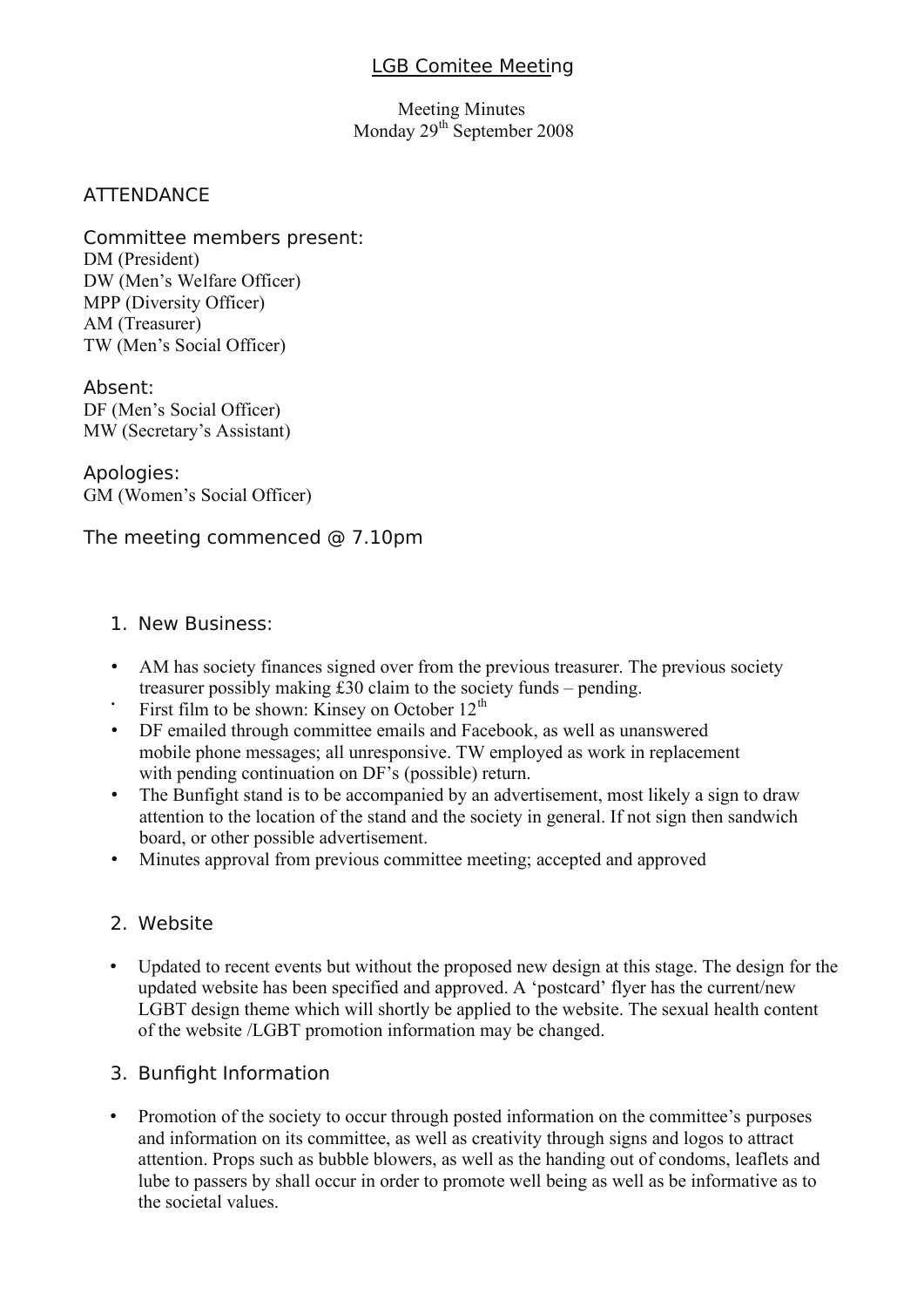#### LGB Comitee Meeting

Meeting Minutes Monday  $29<sup>th</sup>$  September 2008

#### **ATTENDANCE**

Committee members present: DM (President) DW (Men's Welfare Officer) MPP (Diversity Officer) AM (Treasurer) TW (Men's Social Officer)

Absent: DF (Men's Social Officer) MW (Secretary's Assistant)

Apologies: GM (Women's Social Officer)

The meeting commenced @ 7.10pm

#### 1. New Business:

- AM has society finances signed over from the previous treasurer. The previous society treasurer possibly making £30 claim to the society funds – pending.
- First film to be shown: Kinsey on October  $12<sup>th</sup>$
- DF emailed through committee emails and Facebook, as well as unanswered mobile phone messages; all unresponsive. TW employed as work in replacement with pending continuation on DF's (possible) return.
- The Bunfight stand is to be accompanied by an advertisement, most likely a sign to draw attention to the location of the stand and the society in general. If not sign then sandwich board, or other possible advertisement.
- Minutes approval from previous committee meeting; accepted and approved

#### 2. Website

• Updated to recent events but without the proposed new design at this stage. The design for the updated website has been specified and approved. A 'postcard' flyer has the current/new LGBT design theme which will shortly be applied to the website. The sexual health content of the website /LGBT promotion information may be changed.

#### 3. Bunfight Information

• Promotion of the society to occur through posted information on the committee's purposes and information on its committee, as well as creativity through signs and logos to attract attention. Props such as bubble blowers, as well as the handing out of condoms, leaflets and lube to passers by shall occur in order to promote well being as well as be informative as to the societal values.